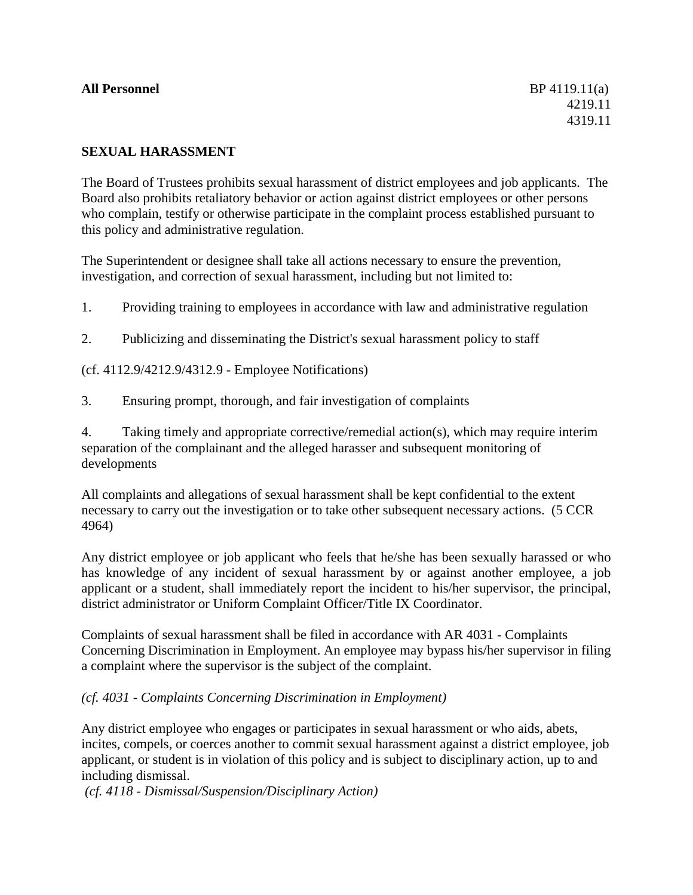### **All Personnel** BP 4119.11(a)

## **SEXUAL HARASSMENT**

The Board of Trustees prohibits sexual harassment of district employees and job applicants. The Board also prohibits retaliatory behavior or action against district employees or other persons who complain, testify or otherwise participate in the complaint process established pursuant to this policy and administrative regulation.

The Superintendent or designee shall take all actions necessary to ensure the prevention, investigation, and correction of sexual harassment, including but not limited to:

1. Providing training to employees in accordance with law and administrative regulation

2. Publicizing and disseminating the District's sexual harassment policy to staff

(cf. 4112.9/4212.9/4312.9 - Employee Notifications)

3. Ensuring prompt, thorough, and fair investigation of complaints

4. Taking timely and appropriate corrective/remedial action(s), which may require interim separation of the complainant and the alleged harasser and subsequent monitoring of developments

All complaints and allegations of sexual harassment shall be kept confidential to the extent necessary to carry out the investigation or to take other subsequent necessary actions. (5 CCR 4964)

Any district employee or job applicant who feels that he/she has been sexually harassed or who has knowledge of any incident of sexual harassment by or against another employee, a job applicant or a student, shall immediately report the incident to his/her supervisor, the principal, district administrator or Uniform Complaint Officer/Title IX Coordinator.

Complaints of sexual harassment shall be filed in accordance with AR 4031 - Complaints Concerning Discrimination in Employment. An employee may bypass his/her supervisor in filing a complaint where the supervisor is the subject of the complaint.

*(cf. 4031 - Complaints Concerning Discrimination in Employment)*

Any district employee who engages or participates in sexual harassment or who aids, abets, incites, compels, or coerces another to commit sexual harassment against a district employee, job applicant, or student is in violation of this policy and is subject to disciplinary action, up to and including dismissal.

*(cf. 4118 - Dismissal/Suspension/Disciplinary Action)*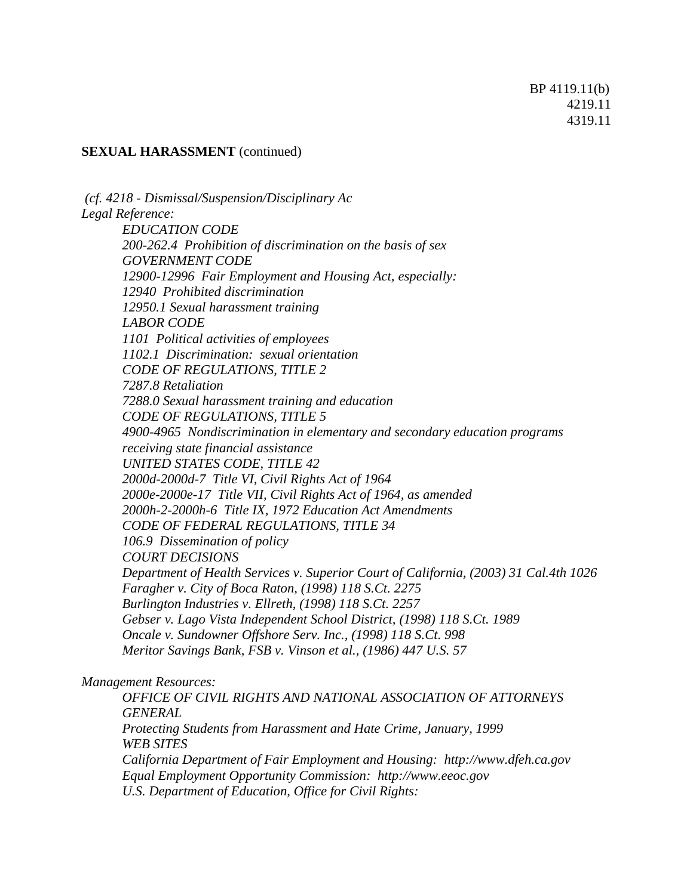#### **SEXUAL HARASSMENT** (continued)

*(cf. 4218 - Dismissal/Suspension/Disciplinary Ac Legal Reference: EDUCATION CODE 200-262.4 Prohibition of discrimination on the basis of sex GOVERNMENT CODE 12900-12996 Fair Employment and Housing Act, especially: 12940 Prohibited discrimination 12950.1 Sexual harassment training LABOR CODE 1101 Political activities of employees 1102.1 Discrimination: sexual orientation CODE OF REGULATIONS, TITLE 2 7287.8 Retaliation 7288.0 Sexual harassment training and education CODE OF REGULATIONS, TITLE 5 4900-4965 Nondiscrimination in elementary and secondary education programs receiving state financial assistance UNITED STATES CODE, TITLE 42 2000d-2000d-7 Title VI, Civil Rights Act of 1964 2000e-2000e-17 Title VII, Civil Rights Act of 1964, as amended 2000h-2-2000h-6 Title IX, 1972 Education Act Amendments CODE OF FEDERAL REGULATIONS, TITLE 34 106.9 Dissemination of policy COURT DECISIONS Department of Health Services v. Superior Court of California, (2003) 31 Cal.4th 1026 Faragher v. City of Boca Raton, (1998) 118 S.Ct. 2275 Burlington Industries v. Ellreth, (1998) 118 S.Ct. 2257 Gebser v. Lago Vista Independent School District, (1998) 118 S.Ct. 1989 Oncale v. Sundowner Offshore Serv. Inc., (1998) 118 S.Ct. 998 Meritor Savings Bank, FSB v. Vinson et al., (1986) 447 U.S. 57*

#### *Management Resources:*

*OFFICE OF CIVIL RIGHTS AND NATIONAL ASSOCIATION OF ATTORNEYS GENERAL Protecting Students from Harassment and Hate Crime, January, 1999 WEB SITES California Department of Fair Employment and Housing: http://www.dfeh.ca.gov Equal Employment Opportunity Commission: http://www.eeoc.gov U.S. Department of Education, Office for Civil Rights:*